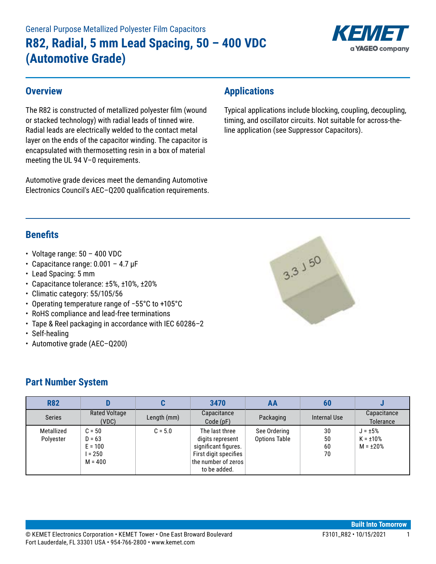# General Purpose Metallized Polyester Film Capacitors **R82, Radial, 5 mm Lead Spacing, 50 – 400 VDC (Automotive Grade)**



#### **Overview**

The R82 is constructed of metallized polyester film (wound or stacked technology) with radial leads of tinned wire. Radial leads are electrically welded to the contact metal layer on the ends of the capacitor winding. The capacitor is encapsulated with thermosetting resin in a box of material meeting the UL 94 V–0 requirements.

Automotive grade devices meet the demanding Automotive Electronics Council's AEC–Q200 qualification requirements.

#### **Applications**

Typical applications include blocking, coupling, decoupling, timing, and oscillator circuits. Not suitable for across-theline application (see Suppressor Capacitors).

## **Benefits**

- Voltage range:  $50 400$  VDC
- Capacitance range: 0.001 4.7 µF
- Lead Spacing: 5 mm
- Capacitance tolerance: ±5%, ±10%, ±20%
- Climatic category: 55/105/56
- • Operating temperature range of −55°C to +105°C
- RoHS compliance and lead-free terminations
- Tape & Reel packaging in accordance with IEC 60286–2
- Self-healing
- Automotive grade (AEC–Q200)

#### **Part Number System**

| <b>R82</b>              |                                                           | u           | 3470                                                                                                                       | AA                                   | 60                   |                                                   |
|-------------------------|-----------------------------------------------------------|-------------|----------------------------------------------------------------------------------------------------------------------------|--------------------------------------|----------------------|---------------------------------------------------|
| <b>Series</b>           | <b>Rated Voltage</b><br>(VDC)                             | Length (mm) | Capacitance<br>Code(pF)                                                                                                    | Packaging                            | Internal Use         | Capacitance<br><b>Tolerance</b>                   |
| Metallized<br>Polyester | $C = 50$<br>$D = 63$<br>$E = 100$<br>l = 250<br>$M = 400$ | $C = 5.0$   | The last three<br>digits represent<br>significant figures.<br>First digit specifies<br>the number of zeros<br>to be added. | See Ordering<br><b>Options Table</b> | 30<br>50<br>60<br>70 | $J = \pm 5\%$<br>$K = \pm 10\%$<br>$M = \pm 20\%$ |

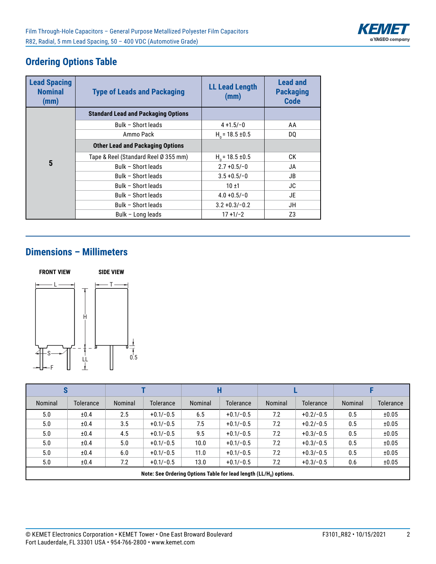

# **Ordering Options Table**

| <b>Lead Spacing</b><br><b>Nominal</b><br>(mm) | <b>Type of Leads and Packaging</b>         | <b>LL Lead Length</b><br>(mm) | <b>Lead and</b><br><b>Packaging</b><br><b>Code</b> |
|-----------------------------------------------|--------------------------------------------|-------------------------------|----------------------------------------------------|
|                                               | <b>Standard Lead and Packaging Options</b> |                               |                                                    |
|                                               | Bulk - Short leads                         | $4 + 1.5/-0$                  | AA                                                 |
|                                               | Ammo Pack                                  | $H0$ = 18.5 ±0.5              | DO.                                                |
|                                               | <b>Other Lead and Packaging Options</b>    |                               |                                                    |
|                                               | Tape & Reel (Standard Reel Ø 355 mm)       | $H0$ = 18.5 ±0.5              | СK                                                 |
| 5                                             | Bulk - Short leads                         | $2.7 + 0.5/-0$                | JA                                                 |
|                                               | Bulk - Short leads                         | $3.5 + 0.5/-0$                | JB.                                                |
|                                               | Bulk - Short leads                         | $10 + 1$                      | JC                                                 |
|                                               | Bulk - Short leads                         | $4.0 + 0.5/-0$                | JE                                                 |
|                                               | Bulk - Short leads                         | $3.2 + 0.3/- 0.2$             | JH                                                 |
|                                               | Bulk - Long leads                          | $17 + 1/-2$                   | Z3                                                 |

## **Dimensions – Millimeters**



| S       |                                                                                |         |             |         |                  |                |                  |         |                  |
|---------|--------------------------------------------------------------------------------|---------|-------------|---------|------------------|----------------|------------------|---------|------------------|
| Nominal | Tolerance                                                                      | Nominal | Tolerance   | Nominal | <b>Tolerance</b> | <b>Nominal</b> | <b>Tolerance</b> | Nominal | <b>Tolerance</b> |
| 5.0     | ±0.4                                                                           | 2.5     | $+0.1/-0.5$ | 6.5     | $+0.1/-0.5$      | 7.2            | $+0.2/-0.5$      | 0.5     | ±0.05            |
| 5.0     | ±0.4                                                                           | 3.5     | $+0.1/-0.5$ | 7.5     | $+0.1/-0.5$      | 7.2            | $+0.2/-0.5$      | 0.5     | ±0.05            |
| 5.0     | ±0.4                                                                           | 4.5     | $+0.1/-0.5$ | 9.5     | $+0.1/-0.5$      | 7.2            | $+0.3/-0.5$      | 0.5     | ±0.05            |
| 5.0     | ±0.4                                                                           | 5.0     | $+0.1/-0.5$ | 10.0    | $+0.1/-0.5$      | 7.2            | $+0.3/-0.5$      | 0.5     | ±0.05            |
| 5.0     | ±0.4                                                                           | 6.0     | $+0.1/-0.5$ | 11.0    | $+0.1/-0.5$      | 7.2            | $+0.3/-0.5$      | 0.5     | ±0.05            |
| 5.0     | ±0.4                                                                           | 7.2     | $+0.1/-0.5$ | 13.0    | $+0.1/-0.5$      | 7.2            | $+0.3/-0.5$      | 0.6     | ±0.05            |
|         | Note: See Ordering Options Table for lead length (LL/H <sub>0</sub> ) options. |         |             |         |                  |                |                  |         |                  |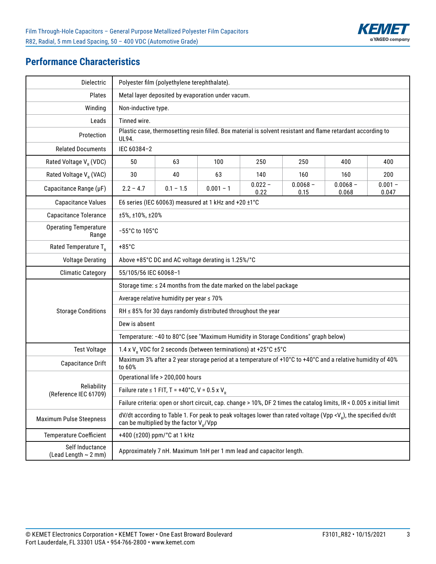

# **Performance Characteristics**

| Dielectric                              | Polyester film (polyethylene terephthalate).                                                                                                                                       |                                                                |                                                                                                              |                   |                    |                     |                    |  |
|-----------------------------------------|------------------------------------------------------------------------------------------------------------------------------------------------------------------------------------|----------------------------------------------------------------|--------------------------------------------------------------------------------------------------------------|-------------------|--------------------|---------------------|--------------------|--|
| Plates                                  | Metal layer deposited by evaporation under vacum.                                                                                                                                  |                                                                |                                                                                                              |                   |                    |                     |                    |  |
| Winding                                 |                                                                                                                                                                                    | Non-inductive type.                                            |                                                                                                              |                   |                    |                     |                    |  |
| Leads                                   | Tinned wire.                                                                                                                                                                       |                                                                |                                                                                                              |                   |                    |                     |                    |  |
| Protection                              | UL94.                                                                                                                                                                              |                                                                | Plastic case, thermosetting resin filled. Box material is solvent resistant and flame retardant according to |                   |                    |                     |                    |  |
| <b>Related Documents</b>                | IEC 60384-2                                                                                                                                                                        |                                                                |                                                                                                              |                   |                    |                     |                    |  |
| Rated Voltage V <sub>p</sub> (VDC)      | 50                                                                                                                                                                                 | 63                                                             | 100                                                                                                          | 250               | 250                | 400                 | 400                |  |
| Rated Voltage V <sub>R</sub> (VAC)      | 30                                                                                                                                                                                 | 40                                                             | 63                                                                                                           | 140               | 160                | 160                 | 200                |  |
| Capacitance Range (µF)                  | $2.2 - 4.7$                                                                                                                                                                        | $0.1 - 1.5$                                                    | $0.001 - 1$                                                                                                  | $0.022 -$<br>0.22 | $0.0068 -$<br>0.15 | $0.0068 -$<br>0.068 | $0.001 -$<br>0.047 |  |
| <b>Capacitance Values</b>               |                                                                                                                                                                                    |                                                                | E6 series (IEC 60063) measured at 1 kHz and +20 ±1°C                                                         |                   |                    |                     |                    |  |
| Capacitance Tolerance                   | ±5%, ±10%, ±20%                                                                                                                                                                    |                                                                |                                                                                                              |                   |                    |                     |                    |  |
| <b>Operating Temperature</b><br>Range   |                                                                                                                                                                                    | -55°C to 105°C                                                 |                                                                                                              |                   |                    |                     |                    |  |
| Rated Temperature $T_R$                 | $+85^{\circ}$ C                                                                                                                                                                    |                                                                |                                                                                                              |                   |                    |                     |                    |  |
| <b>Voltage Derating</b>                 |                                                                                                                                                                                    | Above +85°C DC and AC voltage derating is 1.25%/°C             |                                                                                                              |                   |                    |                     |                    |  |
| <b>Climatic Category</b>                |                                                                                                                                                                                    | 55/105/56 IEC 60068-1                                          |                                                                                                              |                   |                    |                     |                    |  |
|                                         |                                                                                                                                                                                    |                                                                | Storage time: ≤ 24 months from the date marked on the label package                                          |                   |                    |                     |                    |  |
|                                         |                                                                                                                                                                                    | Average relative humidity per year ≤ 70%                       |                                                                                                              |                   |                    |                     |                    |  |
| <b>Storage Conditions</b>               | RH $\leq$ 85% for 30 days randomly distributed throughout the year                                                                                                                 |                                                                |                                                                                                              |                   |                    |                     |                    |  |
|                                         | Dew is absent                                                                                                                                                                      |                                                                |                                                                                                              |                   |                    |                     |                    |  |
|                                         |                                                                                                                                                                                    |                                                                | Temperature: -40 to 80°C (see "Maximum Humidity in Storage Conditions" graph below)                          |                   |                    |                     |                    |  |
| <b>Test Voltage</b>                     |                                                                                                                                                                                    |                                                                | 1.4 x V <sub>p</sub> VDC for 2 seconds (between terminations) at +25°C ±5°C                                  |                   |                    |                     |                    |  |
| Capacitance Drift                       | to 60%                                                                                                                                                                             |                                                                | Maximum 3% after a 2 year storage period at a temperature of +10°C to +40°C and a relative humidity of 40%   |                   |                    |                     |                    |  |
|                                         |                                                                                                                                                                                    | Operational life > 200,000 hours                               |                                                                                                              |                   |                    |                     |                    |  |
| Reliability<br>(Reference IEC 61709)    |                                                                                                                                                                                    | Failure rate $\leq 1$ FIT, T = +40°C, V = 0.5 x V <sub>p</sub> |                                                                                                              |                   |                    |                     |                    |  |
|                                         | Failure criteria: open or short circuit, cap. change > 10%, DF 2 times the catalog limits, IR < 0.005 x initial limit                                                              |                                                                |                                                                                                              |                   |                    |                     |                    |  |
| <b>Maximum Pulse Steepness</b>          | $dV/dt$ according to Table 1. For peak to peak voltages lower than rated voltage (Vpp <v<sub>p), the specified dv/dt<br/>can be multiplied by the factor V<sub>p</sub>/Vpp</v<sub> |                                                                |                                                                                                              |                   |                    |                     |                    |  |
| <b>Temperature Coefficient</b>          |                                                                                                                                                                                    | +400 (±200) ppm/°C at 1 kHz                                    |                                                                                                              |                   |                    |                     |                    |  |
| Self Inductance<br>(Lead Length ~ 2 mm) |                                                                                                                                                                                    |                                                                | Approximately 7 nH. Maximum 1nH per 1 mm lead and capacitor length.                                          |                   |                    |                     |                    |  |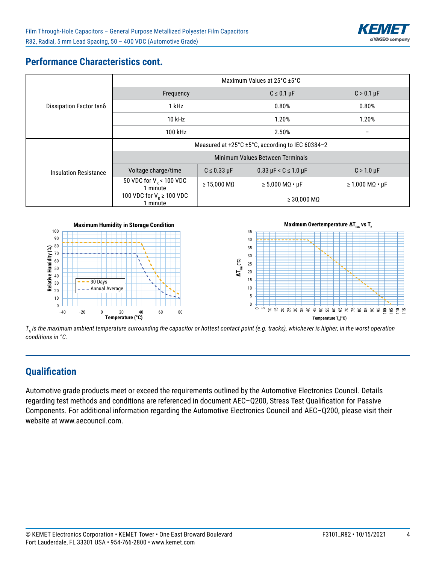

# **Performance Characteristics cont.**

|                              | Maximum Values at 25°C ±5°C                      |                               |                                     |                            |  |  |  |
|------------------------------|--------------------------------------------------|-------------------------------|-------------------------------------|----------------------------|--|--|--|
| Dissipation Factor tano      | Frequency                                        |                               | $C \leq 0.1 \mu F$                  | $C > 0.1 \mu F$            |  |  |  |
|                              | 1 kHz                                            |                               | 0.80%                               | 0.80%                      |  |  |  |
|                              | $10$ kHz                                         |                               | 1.20%                               | 1.20%                      |  |  |  |
|                              | 100 kHz                                          |                               | 2.50%                               | $\qquad \qquad$            |  |  |  |
|                              | Measured at +25°C ±5°C, according to IEC 60384-2 |                               |                                     |                            |  |  |  |
|                              | Minimum Values Between Terminals                 |                               |                                     |                            |  |  |  |
| <b>Insulation Resistance</b> | Voltage charge/time                              | $C \leq 0.33 \mu F$           | $0.33 \mu F < C \leq 1.0 \mu F$     | $C > 1.0 \mu F$            |  |  |  |
|                              | 50 VDC for $V_R$ < 100 VDC<br>1 minute           | $\geq 15,000 \text{ M}\Omega$ | $\geq 5,000$ M $\Omega \cdot \mu$ F | $\geq 1,000$ MQ $\cdot$ µF |  |  |  |
|                              | 100 VDC for $V_R \ge 100$ VDC<br>1 minute        |                               | $\geq$ 30,000 MQ                    |                            |  |  |  |



 $\mathcal{T}_h$  is the maximum ambient temperature surrounding the capacitor or hottest contact point (e.g. tracks), whichever is higher, in the worst operation *conditions in °C.*

# **Qualification**

Automotive grade products meet or exceed the requirements outlined by the Automotive Electronics Council. Details regarding test methods and conditions are referenced in document AEC–Q200, Stress Test Qualification for Passive Components. For additional information regarding the Automotive Electronics Council and AEC–Q200, please visit their website at www.aecouncil.com.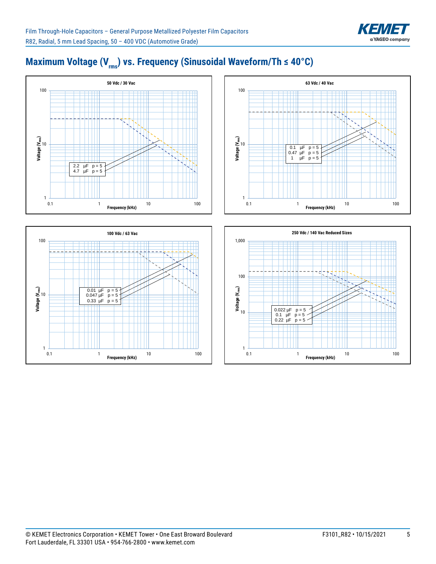

# Maximum Voltage (V<sub>rms</sub>) vs. Frequency (Sinusoidal Waveform/Th ≤ 40°C)







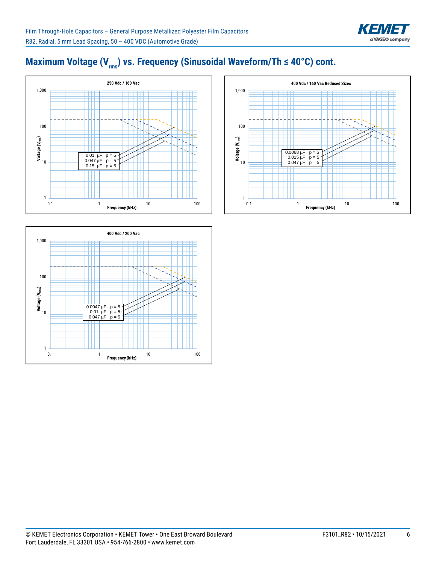

# Maximum Voltage (V<sub>rms</sub>) vs. Frequency (Sinusoidal Waveform/Th ≤ 40°C) cont.





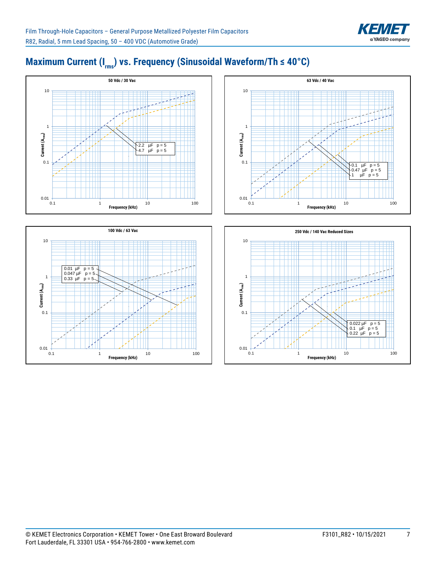

# Maximum Current (I<sub>rms</sub>) vs. Frequency (Sinusoidal Waveform/Th ≤ 40°C)





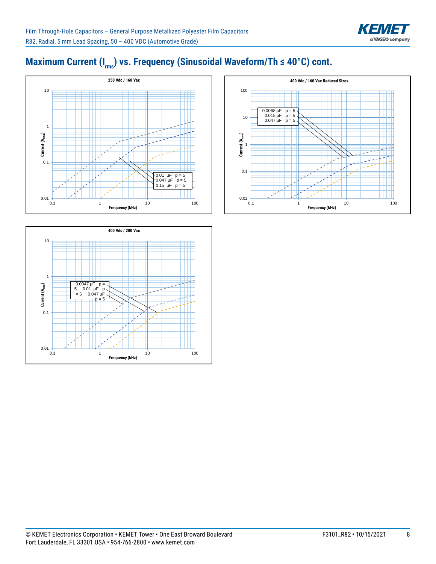

# Maximum Current (I<sub>rms</sub>) vs. Frequency (Sinusoidal Waveform/Th ≤ 40°C) cont.





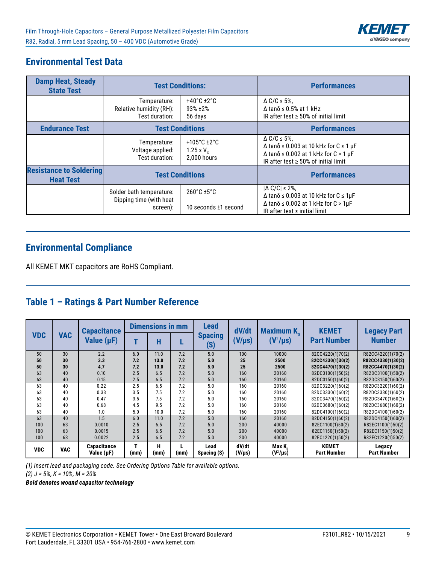

## **Environmental Test Data**

| <b>Damp Heat, Steady</b><br><b>State Test</b>      |                                                                 | <b>Test Conditions:</b>                                          | <b>Performances</b>                                                                                                                                                                                   |
|----------------------------------------------------|-----------------------------------------------------------------|------------------------------------------------------------------|-------------------------------------------------------------------------------------------------------------------------------------------------------------------------------------------------------|
|                                                    | Temperature:<br>Relative humidity (RH):<br>Test duration:       | $+40^{\circ}$ C $\pm 2^{\circ}$ C<br>93% ±2%<br>56 days          | $\triangle$ C/C $\leq$ 5%,<br>$\Delta$ tan $\delta$ $\leq$ 0.5% at 1 kHz<br>IR after test $\geq$ 50% of initial limit                                                                                 |
| <b>Endurance Test</b>                              |                                                                 | <b>Test Conditions</b>                                           | <b>Performances</b>                                                                                                                                                                                   |
|                                                    | Temperature:<br>Voltage applied:<br>Test duration:              | +105 $^{\circ}$ C ±2 $^{\circ}$ C<br>1.25 x $V_c$<br>2,000 hours | $\triangle$ C/C $\leq$ 5%,<br>$\Delta$ tan $\delta$ $\leq$ 0.003 at 10 kHz for C $\leq$ 1 µF<br>$\Delta$ tan $\delta$ $\leq$ 0.002 at 1 kHz for C > 1 µF<br>IR after test $\geq$ 50% of initial limit |
| <b>Resistance to Soldering</b><br><b>Heat Test</b> |                                                                 | <b>Test Conditions</b>                                           | <b>Performances</b>                                                                                                                                                                                   |
|                                                    | Solder bath temperature:<br>Dipping time (with heat<br>screen): | $260^{\circ}$ C ±5 $^{\circ}$ C<br>10 seconds ±1 second          | $ \Delta C/C  \leq 2\%$ ,<br>$\Delta$ tan $\delta$ $\leq$ 0.003 at 10 kHz for C $\leq$ 1µF<br>$\Delta$ tan $\delta$ $\leq$ 0.002 at 1 kHz for C > 1µF<br>IR after test $\geq$ initial limit           |

#### **Environmental Compliance**

All KEMET MKT capacitors are RoHS Compliant.

# **Table 1 – Ratings & Part Number Reference**

|            | <b>Capacitance</b> |                                       | <b>Dimensions in mm</b>    |           | <b>Lead</b> | dV/dt               | <b>Maximum K</b> <sub>0</sub> | <b>KEMET</b>           | <b>Legacy Part</b>                 |                       |
|------------|--------------------|---------------------------------------|----------------------------|-----------|-------------|---------------------|-------------------------------|------------------------|------------------------------------|-----------------------|
| <b>VDC</b> | <b>VAC</b>         | Value (µF)                            | <b>Spacing</b><br>н<br>(S) |           | $(V/\mu s)$ | $(V^2/\mu s)$       | <b>Part Number</b>            | <b>Number</b>          |                                    |                       |
| 50         | 30                 | 2.2                                   | 6.0                        | 11.0      | 7.2         | 5.0                 | 100                           | 10000                  | 82CC4220(1)70(2)                   | R82CC4220(1)70(2)     |
| 50         | 30                 | 3.3                                   | 7.2                        | 13.0      | 7.2         | 5.0                 | 25                            | 2500                   | 82CC4330(1)30(2)                   | R82CC4330(1)30(2)     |
| 50         | 30                 | 4.7                                   | 7.2                        | 13.0      | 7.2         | 5.0                 | 25                            | 2500                   | 82CC4470(1)30(2)                   | R82CC4470(1)30(2)     |
| 63         | 40                 | 0.10                                  | 2.5                        | 6.5       | 7.2         | 5.0                 | 160                           | 20160                  | 82DC3100(1)50(2)                   | R82DC3100(1)50(2)     |
| 63         | 40                 | 0.15                                  | 2.5                        | 6.5       | 7.2         | 5.0                 | 160                           | 20160                  | 82DC3150(1)60(2)                   | R82DC3150(1)60(2)     |
| 63         | 40                 | 0.22                                  | 2.5                        | 6.5       | 7.2         | 5.0                 | 160                           | 20160                  | 82DC3220(1)60(2)                   | R82DC3220(1)60(2)     |
| 63         | 40                 | 0.33                                  | 3.5                        | 7.5       | 7.2         | 5.0                 | 160                           | 20160                  | 82DC3330(1)60(2)                   | R82DC3330(1)60(2)     |
| 63         | 40                 | 0.47                                  | 3.5                        | 7.5       | 7.2         | 5.0                 | 160                           | 20160                  | 82DC3470(1)60(2)                   | R82DC3470(1)60(2)     |
| 63         | 40                 | 0.68                                  | 4.5                        | 9.5       | 7.2         | 5.0                 | 160                           | 20160                  | 82DC3680(1)60(2)                   | R82DC3680(1)60(2)     |
| 63         | 40                 | 1.0                                   | 5.0                        | 10.0      | 7.2         | 5.0                 | 160                           | 20160                  | 82DC4100(1)60(2)                   | R82DC4100(1)60(2)     |
| 63         | 40                 | 1.5                                   | 6.0                        | 11.0      | 7.2         | 5.0                 | 160                           | 20160                  | 82DC4150(1)60(2)                   | R82DC4150(1)60(2)     |
| 100        | 63                 | 0.0010                                | 2.5                        | 6.5       | 7.2         | 5.0                 | 200                           | 40000                  | 82EC1100(1)50(2)                   | R82EC1100(1)50(2)     |
| 100        | 63                 | 0.0015                                | 2.5                        | 6.5       | 7.2         | 5.0                 | 200                           | 40000                  | 82EC1150(1)50(2)                   | R82EC1150(1)50(2)     |
| 100        | 63                 | 0.0022                                | 2.5                        | 6.5       | 7.2         | 5.0                 | 200                           | 40000                  | 82EC1220(1)50(2)                   | R82EC1220(1)50(2)     |
| <b>VDC</b> | <b>VAC</b>         | <b>Capacitance</b><br>Value $(\mu F)$ | т<br>(mm)                  | н<br>(mm) | (mm)        | Lead<br>Spacing (S) | dV/dt<br>$(V/\mu s)$          | Max K<br>$(V^2/\mu s)$ | <b>KEMET</b><br><b>Part Number</b> | Legacy<br>Part Number |

*(1) Insert lead and packaging code. See Ordering Options Table for available options.* 

*(2) J = 5%, K = 10%, M = 20%*

*Bold denotes wound capacitor technology*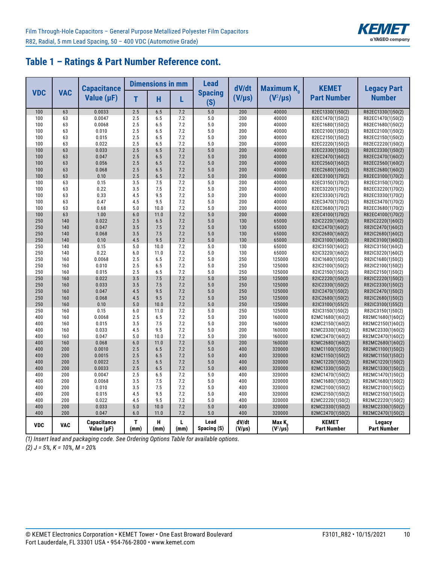

## **Table 1 – Ratings & Part Number Reference cont.**

|            |            | <b>Capacitance</b>                    |            | <b>Dimensions in mm</b> |            | <b>Lead</b>           | dV/dt                | <b>Maximum K</b> <sub>o</sub>       | <b>KEMET</b>                         | <b>Legacy Part</b>                     |
|------------|------------|---------------------------------------|------------|-------------------------|------------|-----------------------|----------------------|-------------------------------------|--------------------------------------|----------------------------------------|
| <b>VDC</b> | <b>VAC</b> | Value $(\mu F)$                       | T          | H                       | L          | <b>Spacing</b><br>(S) | $(V/\mu s)$          | $(V^2/\mu s)$                       | <b>Part Number</b>                   | <b>Number</b>                          |
| 100        | 63         | 0.0033                                | 2.5        | 6.5                     | 7.2        | 5.0                   | 200                  | 40000                               | 82EC1330(1)50(2)                     | R82EC1330(1)50(2)                      |
| 100        | 63         | 0.0047                                | 2.5        | 6.5                     | 7.2        | 5.0                   | 200                  | 40000                               | 82EC1470(1)50(2)                     | R82EC1470(1)50(2)                      |
| 100        | 63         | 0.0068                                | 2.5        | 6.5                     | 7.2        | 5.0                   | 200                  | 40000                               | 82EC1680(1)50(2)                     | R82EC1680(1)50(2)                      |
| 100        | 63         | 0.010                                 | 2.5        | 6.5                     | 7.2        | 5.0                   | 200                  | 40000                               | 82EC2100(1)50(2)                     | R82EC2100(1)50(2)                      |
| 100        | 63         | 0.015                                 | 2.5        | 6.5                     | 7.2        | 5.0                   | 200                  | 40000                               | 82EC2150(1)50(2)                     | R82EC2150(1)50(2)                      |
| 100        | 63         | 0.022                                 | 2.5        | 6.5                     | 7.2        | 5.0                   | 200                  | 40000                               | 82EC2220(1)50(2)                     | R82EC2220(1)50(2)                      |
| 100        | 63         | 0.033                                 | 2.5        | 6.5                     | 7.2        | 5.0                   | 200                  | 40000                               | 82EC2330(1)50(2)                     | R82EC2330(1)50(2)                      |
| 100        | 63         | 0.047                                 | 2.5        | 6.5                     | 7.2        | 5.0                   | 200                  | 40000                               | 82EC2470(1)60(2)                     | R82EC2470(1)60(2)                      |
| 100        | 63         | 0.056                                 | 2.5        | 6.5                     | 7.2        | 5.0                   | 200                  | 40000                               | 82EC2560(1)60(2)                     | R82EC2560(1)60(2)                      |
| 100        | 63         | 0.068                                 | 2.5        | 6.5                     | 7.2        | 5.0                   | 200                  | 40000                               | 82EC2680(1)60(2)                     | R82EC2680(1)60(2)                      |
| 100        | 63         | 0.10                                  | 2.5        | 6.5                     | 7.2        | 5.0                   | 200                  | 40000                               | 82EC3100(1)70(2)                     | R82EC3100(1)70(2)                      |
| 100        | 63         | 0.15                                  | 3.5        | 7.5                     | 7.2        | 5.0                   | 200                  | 40000                               | 82EC3150(1)70(2)                     | R82EC3150(1)70(2)                      |
| 100        | 63         | 0.22                                  | 3.5        | 7.5                     | 7.2        | 5.0                   | 200                  | 40000                               | 82EC3220(1)70(2)                     | R82EC3220(1)70(2)                      |
| 100        | 63         | 0.33                                  | 4.5        | 9.5                     | 7.2        | 5.0                   | 200                  | 40000                               | 82EC3330(1)70(2)                     | R82EC3330(1)70(2)                      |
| 100        | 63         | 0.47                                  | 4.5        | 9.5                     | 7.2        | 5.0                   | 200                  | 40000                               | 82EC3470(1)70(2)                     | R82EC3470(1)70(2)                      |
| 100        | 63         | 0.68                                  | 5.0        | 10.0                    | 7.2        | 5.0                   | 200                  | 40000                               | 82EC3680(1)70(2)                     | R82EC3680(1)70(2)                      |
| 100        | 63         | 1.00                                  | 6.0        | 11.0                    | 7.2        | 5.0                   | 200                  | 40000                               | 82EC4100(1)70(2)                     | R82EC4100(1)70(2)                      |
| 250        | 140        | 0.022                                 | 2.5        | 6.5                     | 7.2        | 5.0                   | 130                  | 65000                               | 82IC2220(1)60(2)                     | R82IC2220(1)60(2)                      |
| 250        | 140        | 0.047                                 | 3.5        | 7.5                     | 7.2        | 5.0                   | 130                  | 65000                               | 82IC2470(1)60(2)                     | R82IC2470(1)60(2)                      |
| 250        | 140        | 0.068                                 | 3.5        | 7.5                     | 7.2        | 5.0                   | 130                  | 65000                               | 82IC2680(1)60(2)                     | R82IC2680(1)60(2)                      |
| 250        | 140        | 0.10                                  | 4.5        | 9.5                     | 7.2        | 5.0                   | 130                  | 65000                               | 82IC3100(1)60(2)                     | R82IC3100(1)60(2)                      |
| 250        | 140        | 0.15                                  | 5.0        | 10.0                    | 7.2        | 5.0                   | 130                  | 65000                               | 82IC3150(1)60(2)                     | R82IC3150(1)60(2)                      |
| 250        | 140        | 0.22                                  | 6.0        | 11.0                    | 7.2        | 5.0                   | 130                  | 65000                               | 82IC3220(1)60(2)                     | R82IC3220(1)60(2)                      |
| 250        | 160        | 0.0068                                | 2.5        | 6.5                     | 7.2        | 5.0                   | 250                  | 125000                              | 82IC1680(1)50(2)                     | R82IC1680(1)50(2)                      |
| 250        | 160        | 0.010                                 | 2.5        | 6.5                     | 7.2        | 5.0                   | 250                  | 125000                              | 82IC2100(1)50(2)                     | R82IC2100(1)50(2)                      |
| 250        | 160        | 0.015                                 | 2.5        | 6.5                     | 7.2        | 5.0                   | 250                  | 125000                              | 82IC2150(1)50(2)                     | R82IC2150(1)50(2)                      |
| 250        | 160        | 0.022                                 | 3.5        | 7.5                     | 7.2        | 5.0                   | 250                  | 125000                              | 82IC2220(1)50(2)                     | R82IC2220(1)50(2)                      |
| 250        | 160        | 0.033                                 | 3.5        | 7.5                     | 7.2        | 5.0                   | 250                  | 125000                              | 82IC2330(1)50(2)                     | R82IC2330(1)50(2)                      |
| 250        | 160        | 0.047                                 | 4.5        | 9.5                     | 7.2        | 5.0                   | 250                  | 125000                              | 82IC2470(1)50(2)                     | R82IC2470(1)50(2)                      |
| 250        | 160        | 0.068                                 | 4.5        | 9.5                     | 7.2        | 5.0                   | 250                  | 125000                              | 82IC2680(1)50(2)                     | R82IC2680(1)50(2)                      |
| 250        | 160        | 0.10                                  | 5.0        | 10.0                    | 7.2        | 5.0                   | 250                  | 125000                              | 82IC3100(1)55(2)                     | R82IC3100(1)55(2)                      |
| 250        | 160        | 0.15                                  | 6.0        | 11.0                    | 7.2<br>7.2 | 5.0<br>5.0            | 250<br>200           | 125000                              | 82IC3150(1)50(2)                     | R82IC3150(1)50(2)                      |
| 400<br>400 | 160<br>160 | 0.0068<br>0.015                       | 2.5<br>3.5 | 6.5<br>7.5              | 7.2        | 5.0                   |                      | 160000<br>160000                    | 82MC1680(1)60(2)                     | R82MC1680(1)60(2)                      |
| 400        | 160        | 0.033                                 | 4.5        | 9.5                     | 7.2        | 5.0                   | 200<br>200           | 160000                              | 82MC2150(1)60(2)<br>82MC2330(1)60(2) | R82MC2150(1)60(2)<br>R82MC2330(1)60(2) |
| 400        | 160        | 0.047                                 | 5.0        | 10.0                    | 7.2        | 5.0                   | 200                  | 160000                              | 82MC2470(1)60(2)                     | R82MC2470(1)60(2)                      |
| 400        | 160        | 0.068                                 | 6.0        | 11.0                    | 7.2        | 5.0                   | 200                  | 160000                              | 82MC2680(1)60(2)                     | R82MC2680(1)60(2)                      |
| 400        | 200        | 0.0010                                | 2.5        | 6.5                     | 7.2        | 5.0                   | 400                  | 320000                              | 82MC1100(1)50(2)                     | R82MC1100(1)50(2)                      |
| 400        | 200        | 0.0015                                | 2.5        | 6.5                     | 7.2        | 5.0                   | 400                  | 320000                              | 82MC1150(1)50(2)                     | R82MC1150(1)50(2)                      |
| 400        | 200        | 0.0022                                | 2.5        | 6.5                     | 7.2        | 5.0                   | 400                  | 320000                              | 82MC1220(1)50(2)                     | R82MC1220(1)50(2)                      |
| 400        | 200        | 0.0033                                | 2.5        | 6.5                     | 7.2        | 5.0                   | 400                  | 320000                              | 82MC1330(1)50(2)                     | R82MC1330(1)50(2)                      |
| 400        | 200        | 0.0047                                | 2.5        | 6.5                     | 7.2        | 5.0                   | 400                  | 320000                              | 82MC1470(1)50(2)                     | R82MC1470(1)50(2)                      |
| 400        | 200        | 0.0068                                | 3.5        | 7.5                     | 7.2        | 5.0                   | 400                  | 320000                              | 82MC1680(1)50(2)                     | R82MC1680(1)50(2)                      |
| 400        | 200        | 0.010                                 | 3.5        | 7.5                     | 7.2        | 5.0                   | 400                  | 320000                              | 82MC2100(1)50(2)                     | R82MC2100(1)50(2)                      |
| 400        | 200        | 0.015                                 | 4.5        | 9.5                     | 7.2        | 5.0                   | 400                  | 320000                              | 82MC2150(1)50(2)                     | R82MC2150(1)50(2)                      |
| 400        | 200        | 0.022                                 | 4.5        | 9.5                     | 7.2        | 5.0                   | 400                  | 320000                              | 82MC2220(1)50(2)                     | R82MC2220(1)50(2)                      |
| 400        | 200        | 0.033                                 | 5.0        | 10.0                    | 7.2        | 5.0                   | 400                  | 320000                              | 82MC2330(1)50(2)                     | R82MC2330(1)50(2)                      |
| 400        | 200        | 0.047                                 | 6.0        | 11.0                    | 7.2        | 5.0                   | 400                  | 320000                              | 82MC2470(1)50(2)                     | R82MC2470(1)50(2)                      |
| <b>VDC</b> | <b>VAC</b> | <b>Capacitance</b><br>Value $(\mu F)$ | T<br>(mm)  | н<br>(mm)               | L<br>(mm)  | Lead<br>Spacing (S)   | dV/dt<br>$(V/\mu s)$ | Max K <sub>n</sub><br>$(V^2/\mu s)$ | <b>KEMET</b><br><b>Part Number</b>   | Legacy<br><b>Part Number</b>           |

*(1) Insert lead and packaging code. See Ordering Options Table for available options. (2) J = 5%, K = 10%, M = 20%*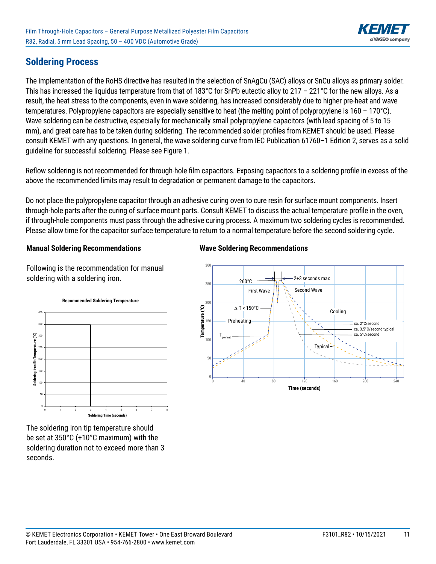

## **Soldering Process**

The implementation of the RoHS directive has resulted in the selection of SnAgCu (SAC) alloys or SnCu alloys as primary solder. This has increased the liquidus temperature from that of 183°C for SnPb eutectic alloy to 217 – 221°C for the new alloys. As a result, the heat stress to the components, even in wave soldering, has increased considerably due to higher pre-heat and wave temperatures. Polypropylene capacitors are especially sensitive to heat (the melting point of polypropylene is 160 – 170°C). Wave soldering can be destructive, especially for mechanically small polypropylene capacitors (with lead spacing of 5 to 15 mm), and great care has to be taken during soldering. The recommended solder profiles from KEMET should be used. Please consult KEMET with any questions. In general, the wave soldering curve from IEC Publication 61760–1 Edition 2, serves as a solid guideline for successful soldering. Please see Figure 1.

Reflow soldering is not recommended for through-hole film capacitors. Exposing capacitors to a soldering profile in excess of the above the recommended limits may result to degradation or permanent damage to the capacitors.

Do not place the polypropylene capacitor through an adhesive curing oven to cure resin for surface mount components. Insert through-hole parts after the curing of surface mount parts. Consult KEMET to discuss the actual temperature profile in the oven, if through-hole components must pass through the adhesive curing process. A maximum two soldering cycles is recommended. Please allow time for the capacitor surface temperature to return to a normal temperature before the second soldering cycle.

#### **Manual Soldering Recommendations**

Following is the recommendation for manual soldering with a soldering iron.



The soldering iron tip temperature should be set at 350°C (+10°C maximum) with the soldering duration not to exceed more than 3 seconds.

#### **Wave Soldering Recommendations**

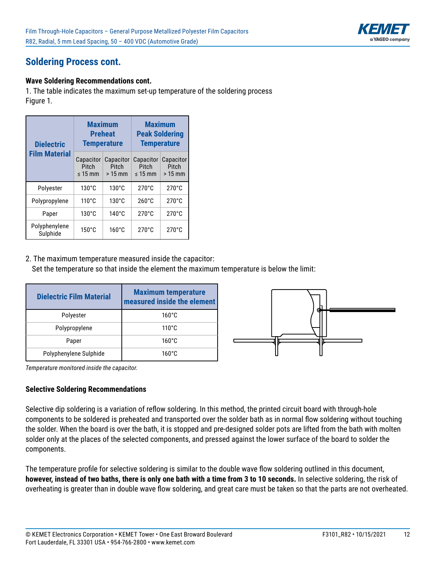

# **Soldering Process cont.**

#### **Wave Soldering Recommendations cont.**

1. The table indicates the maximum set-up temperature of the soldering process Figure 1.

| <b>Dielectric</b>         | <b>Maximum</b><br><b>Temperature</b>      | <b>Preheat</b>                 | <b>Maximum</b><br><b>Peak Soldering</b><br><b>Temperature</b> |                                |  |
|---------------------------|-------------------------------------------|--------------------------------|---------------------------------------------------------------|--------------------------------|--|
| <b>Film Material</b>      | Capacitor<br><b>Pitch</b><br>$\leq 15$ mm | Capacitor<br>Pitch<br>$>15$ mm | Capacitor<br>Pitch<br>$\leq 15$ mm                            | Capacitor<br>Pitch<br>$>15$ mm |  |
| Polyester                 | $130^{\circ}$ C                           | $130^{\circ}$ C                | $270^{\circ}$ C                                               | $270^{\circ}$ C                |  |
| Polypropylene             | $110^{\circ}$ C                           | $130^{\circ}$ C                | $260^{\circ}$ C                                               | $270^{\circ}$ C                |  |
| Paper                     | $130^{\circ}$ C                           | $140^{\circ}$ C                | $270^{\circ}$ C                                               | $270^{\circ}$ C                |  |
| Polyphenylene<br>Sulphide | $150^{\circ}$ C                           | $160^{\circ}$ C                | $270^{\circ}$ C                                               | $270^{\circ}$ C                |  |

2. The maximum temperature measured inside the capacitor: Set the temperature so that inside the element the maximum temperature is below the limit:

| <b>Dielectric Film Material</b> | <b>Maximum temperature</b><br>measured inside the element |
|---------------------------------|-----------------------------------------------------------|
| Polyester                       | $160^{\circ}$ C                                           |
| Polypropylene                   | $110^{\circ}$ C                                           |
| Paper                           | $160^{\circ}$ C                                           |
| Polyphenylene Sulphide          | $160^{\circ}$ C                                           |



*Temperature monitored inside the capacitor.*

#### **Selective Soldering Recommendations**

Selective dip soldering is a variation of reflow soldering. In this method, the printed circuit board with through-hole components to be soldered is preheated and transported over the solder bath as in normal flow soldering without touching the solder. When the board is over the bath, it is stopped and pre-designed solder pots are lifted from the bath with molten solder only at the places of the selected components, and pressed against the lower surface of the board to solder the components.

The temperature profile for selective soldering is similar to the double wave flow soldering outlined in this document, **however, instead of two baths, there is only one bath with a time from 3 to 10 seconds.** In selective soldering, the risk of overheating is greater than in double wave flow soldering, and great care must be taken so that the parts are not overheated.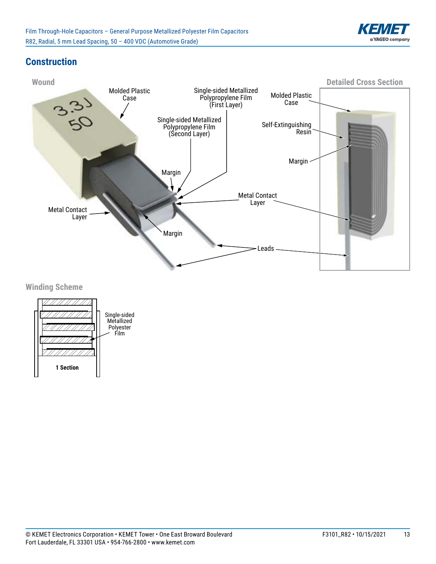

Carrier

# **Construction**



**Winding Scheme** 

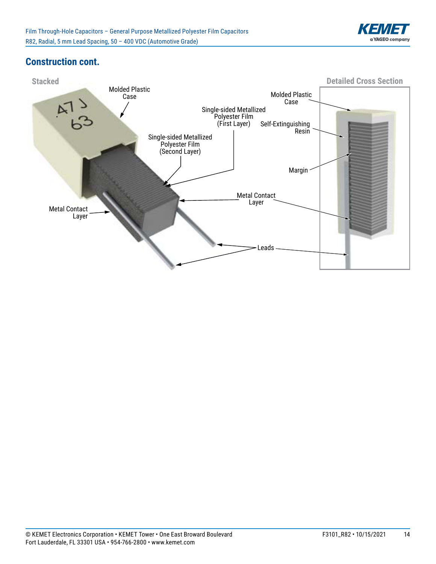

### **Construction cont.**

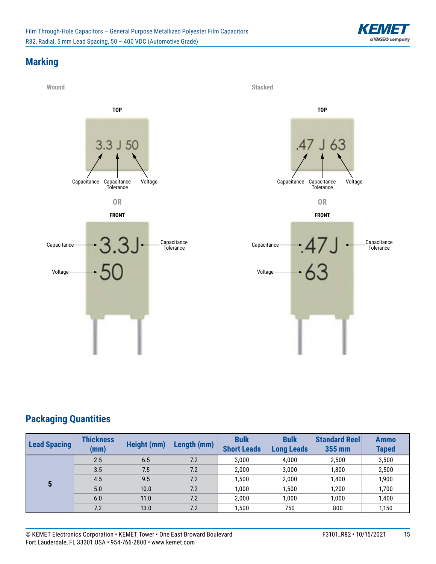

# **Marking**



# **Packaging Quantities**

| <b>Lead Spacing</b> | <b>Thickness</b><br>(mm) | Height (mm) | Length (mm) | <b>Bulk</b><br><b>Short Leads</b> | <b>Bulk</b><br><b>Long Leads</b> | <b>Standard Reel</b><br>355 mm | <b>Ammo</b><br><b>Taped</b> |
|---------------------|--------------------------|-------------|-------------|-----------------------------------|----------------------------------|--------------------------------|-----------------------------|
|                     | 2.5                      | 6.5         | 7.2         | 3,000                             | 4,000                            | 2,500                          | 3,500                       |
|                     | 3.5                      | 7.5         | 7.2         | 2,000                             | 3,000                            | 1,800                          | 2,500                       |
| 5                   | 4.5                      | 9.5         | 7.2         | 1,500                             | 2,000                            | 1,400                          | 1,900                       |
|                     | 5.0                      | 10.0        | 7.2         | 1,000                             | 1,500                            | 1.200                          | 1,700                       |
|                     | 6.0                      | 11.0        | 7.2         | 2,000                             | 1,000                            | 1,000                          | 1,400                       |
|                     | 7.2                      | 13.0        | 7.2         | 1,500                             | 750                              | 800                            | 1,150                       |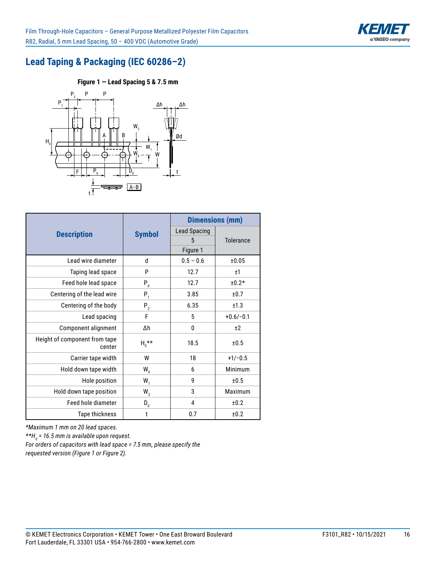

# **Lead Taping & Packaging (IEC 60286–2)**

**Figure 1 — Lead Spacing 5 & 7.5 mm Figure 2 — Lead Spacing 7.5 mm**



|                                         |                    |                     | <b>Dimensions (mm)</b> |  |  |
|-----------------------------------------|--------------------|---------------------|------------------------|--|--|
| <b>Description</b>                      | <b>Symbol</b>      | <b>Lead Spacing</b> |                        |  |  |
|                                         |                    | 5                   | <b>Tolerance</b>       |  |  |
|                                         |                    | Figure 1            |                        |  |  |
| Lead wire diameter                      | d                  | $0.5 - 0.6$         | ±0.05                  |  |  |
| Taping lead space                       | P                  | 12.7                | ±1                     |  |  |
| Feed hole lead space                    | $P_{0}$            | 12.7                | $±0.2*$                |  |  |
| Centering of the lead wire              | $P_1$              | 3.85                | ±0.7                   |  |  |
| Centering of the body                   | $P_{2}$            | 6.35                | ±1.3                   |  |  |
| Lead spacing                            | F                  | 5                   | $+0.6/-0.1$            |  |  |
| Component alignment                     | Δh                 | 0                   | ±2                     |  |  |
| Height of component from tape<br>center | $H_n^{\star\star}$ | 18.5                | ±0.5                   |  |  |
| Carrier tape width                      | W                  | 18                  | $+1/-0.5$              |  |  |
| Hold down tape width                    | $W_{0}$            | 6                   | Minimum                |  |  |
| Hole position                           | $W_1$              | 9                   | ±0.5                   |  |  |
| Hold down tape position                 | $W_{2}$            | 3                   | Maximum                |  |  |
| Feed hole diameter                      | $D_{0}$            | 4                   | ±0.2                   |  |  |
| Tape thickness                          | t                  | 0.7                 | ±0.2                   |  |  |

*\*Maximum 1 mm on 20 lead spaces.* 

*\*\*H0 = 16.5 mm is available upon request.* 

*For orders of capacitors with lead space = 7.5 mm, please specify the requested version (Figure 1 or Figure 2).*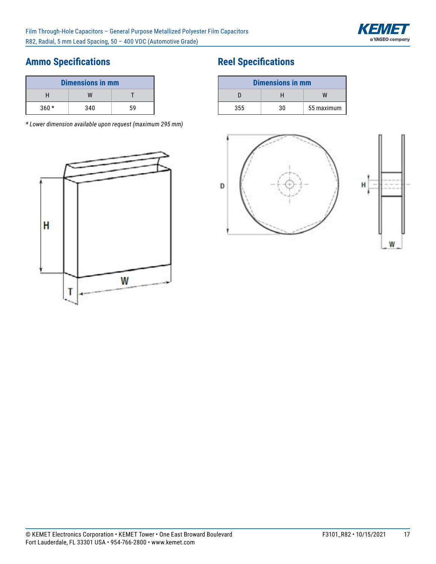

# **Ammo Specifications**

| <b>Dimensions in mm</b> |     |    |  |
|-------------------------|-----|----|--|
|                         | W   |    |  |
| $360*$                  | 340 | 59 |  |

*\* Lower dimension available upon request (maximum 295 mm)*



# **Reel Specifications**

| <b>Dimensions in mm</b> |    |            |  |
|-------------------------|----|------------|--|
|                         | н  |            |  |
| 355                     | 30 | 55 maximum |  |